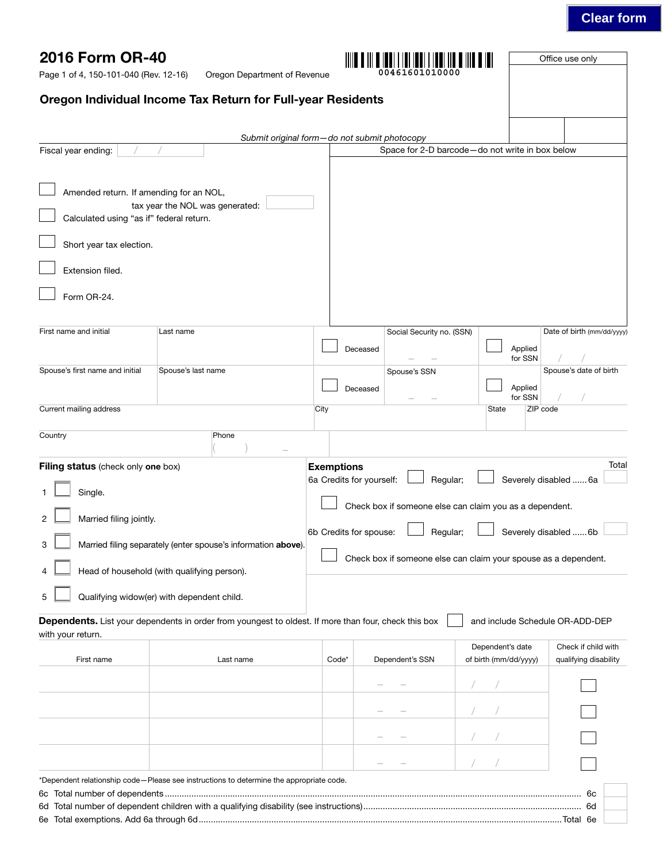## **Clear form**

Office use only

Page 1 of 4, 150-101-040 (Rev. 12-16)

Oregon Department of Revenue **00461601010000**

## Oregon Individual Income Tax Return for Full-year Residents

| Fiscal year ending:                                                                                                                                                                                                                                                                                                                                                                                                                                                                                                                      |                                                                                                      |       | Submit original form-do not submit photocopy | Space for 2-D barcode-do not write in box below     |                            |
|------------------------------------------------------------------------------------------------------------------------------------------------------------------------------------------------------------------------------------------------------------------------------------------------------------------------------------------------------------------------------------------------------------------------------------------------------------------------------------------------------------------------------------------|------------------------------------------------------------------------------------------------------|-------|----------------------------------------------|-----------------------------------------------------|----------------------------|
| Amended return. If amending for an NOL,<br>Calculated using "as if" federal return.<br>Short year tax election.<br>Extension filed.<br>Form OR-24.                                                                                                                                                                                                                                                                                                                                                                                       | tax year the NOL was generated:                                                                      |       |                                              |                                                     |                            |
| First name and initial                                                                                                                                                                                                                                                                                                                                                                                                                                                                                                                   | Last name                                                                                            |       | Social Security no. (SSN)                    |                                                     | Date of birth (mm/dd/yyyy) |
| Spouse's first name and initial                                                                                                                                                                                                                                                                                                                                                                                                                                                                                                          | Spouse's last name                                                                                   |       | Deceased<br>Spouse's SSN<br>Deceased         | Applied<br>for SSN<br>Applied<br>for SSN            | Spouse's date of birth     |
| Current mailing address                                                                                                                                                                                                                                                                                                                                                                                                                                                                                                                  |                                                                                                      | City  |                                              | ZIP code<br>State                                   |                            |
| Country                                                                                                                                                                                                                                                                                                                                                                                                                                                                                                                                  | Phone                                                                                                |       |                                              |                                                     |                            |
| <b>Exemptions</b><br>Filing status (check only one box)<br>6a Credits for yourself:<br>Regular;<br>Severely disabled  6a<br>Single.<br>Check box if someone else can claim you as a dependent.<br>Married filing jointly.<br>2<br>6b Credits for spouse:<br>Severely disabled  6b<br>Regular;<br>Married filing separately (enter spouse's information above).<br>3<br>Check box if someone else can claim your spouse as a dependent.<br>Head of household (with qualifying person).<br>5<br>Qualifying widow(er) with dependent child. |                                                                                                      |       |                                              |                                                     | Total                      |
| with your return.                                                                                                                                                                                                                                                                                                                                                                                                                                                                                                                        | Dependents. List your dependents in order from youngest to oldest. If more than four, check this box |       |                                              | and include Schedule OR-ADD-DEP<br>Dependent's date | Check if child with        |
| First name                                                                                                                                                                                                                                                                                                                                                                                                                                                                                                                               | Last name                                                                                            | Code* | Dependent's SSN                              | of birth (mm/dd/yyyy)                               | qualifying disability      |
|                                                                                                                                                                                                                                                                                                                                                                                                                                                                                                                                          |                                                                                                      |       |                                              |                                                     |                            |
|                                                                                                                                                                                                                                                                                                                                                                                                                                                                                                                                          |                                                                                                      |       |                                              |                                                     |                            |
|                                                                                                                                                                                                                                                                                                                                                                                                                                                                                                                                          |                                                                                                      |       |                                              |                                                     |                            |
|                                                                                                                                                                                                                                                                                                                                                                                                                                                                                                                                          |                                                                                                      |       |                                              |                                                     |                            |
|                                                                                                                                                                                                                                                                                                                                                                                                                                                                                                                                          | *Dependent relationship code-Please see instructions to determine the appropriate code.              |       |                                              |                                                     | 6с<br>6d                   |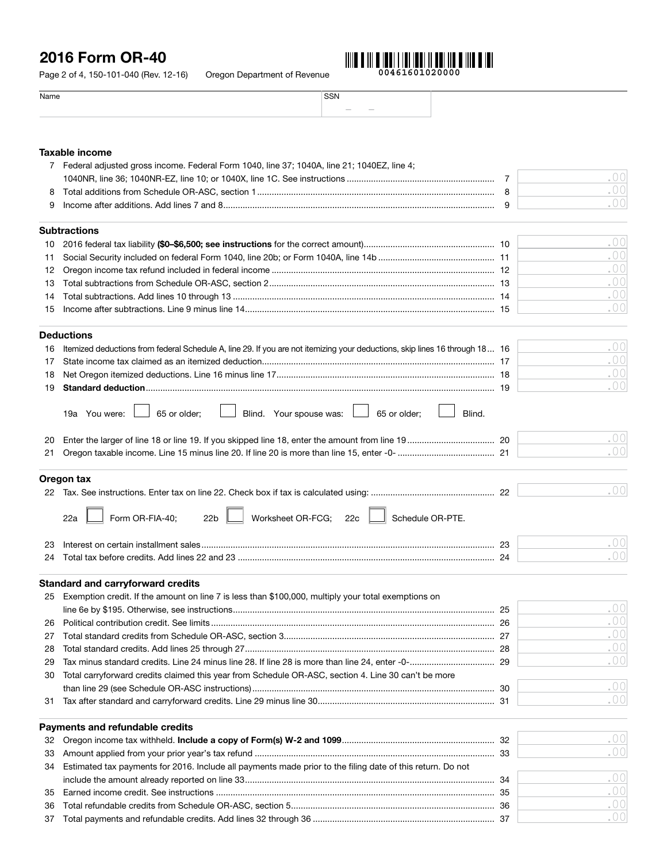# 2016 Form OR-40



| Name |                         |  |
|------|-------------------------|--|
|      | $\frac{1}{2}$<br>$\sim$ |  |
|      |                         |  |

### Taxable income

|    | 7 Federal adjusted gross income. Federal Form 1040, line 37; 1040A, line 21; 1040EZ, line 4;                                |     |
|----|-----------------------------------------------------------------------------------------------------------------------------|-----|
|    |                                                                                                                             | .00 |
| 8  |                                                                                                                             | .00 |
|    |                                                                                                                             | .00 |
|    |                                                                                                                             |     |
|    | Subtractions                                                                                                                |     |
| 10 |                                                                                                                             | .00 |
| 11 |                                                                                                                             | .00 |
| 12 |                                                                                                                             | .00 |
| 13 |                                                                                                                             | .00 |
| 14 |                                                                                                                             | .00 |
| 15 |                                                                                                                             | .00 |
|    | <b>Deductions</b>                                                                                                           |     |
| 16 | Itemized deductions from federal Schedule A, line 29. If you are not itemizing your deductions, skip lines 16 through 18 16 | .00 |
| 17 |                                                                                                                             | .00 |
| 18 |                                                                                                                             | .00 |
| 19 |                                                                                                                             | .00 |
|    |                                                                                                                             |     |
|    | Blind. Your spouse was: $\boxed{\phantom{0}}$ 65 or older;<br>65 or older;<br>Blind.<br>19a You were:                       |     |
| 20 |                                                                                                                             | .00 |
| 21 |                                                                                                                             | .00 |
|    |                                                                                                                             |     |
|    | Oregon tax                                                                                                                  |     |
|    |                                                                                                                             | .00 |
|    | Form OR-FIA-40;<br>Worksheet OR-FCG; 22c   Schedule OR-PTE.<br>22 <sub>b</sub><br>22a                                       |     |
| 23 |                                                                                                                             | .00 |
|    |                                                                                                                             | .00 |
|    |                                                                                                                             |     |
|    | <b>Standard and carryforward credits</b>                                                                                    |     |
|    | 25 Exemption credit. If the amount on line 7 is less than \$100,000, multiply your total exemptions on                      |     |
|    |                                                                                                                             | .00 |
| 26 |                                                                                                                             | .00 |
|    |                                                                                                                             | .00 |
| 28 |                                                                                                                             | .00 |
| 29 |                                                                                                                             | .00 |
| 30 | Total carryforward credits claimed this year from Schedule OR-ASC, section 4. Line 30 can't be more                         |     |
|    |                                                                                                                             | .00 |
| 31 |                                                                                                                             | .00 |
|    |                                                                                                                             |     |
|    | Payments and refundable credits                                                                                             |     |
| 32 |                                                                                                                             | .00 |
| 33 |                                                                                                                             | .00 |
| 34 | Estimated tax payments for 2016. Include all payments made prior to the filing date of this return. Do not                  |     |
|    |                                                                                                                             | .00 |
| 35 |                                                                                                                             | .00 |
| 36 |                                                                                                                             | .00 |

37 Total payments and refundable credits. Add lines 32 through 36 ........................................................................... 37

.00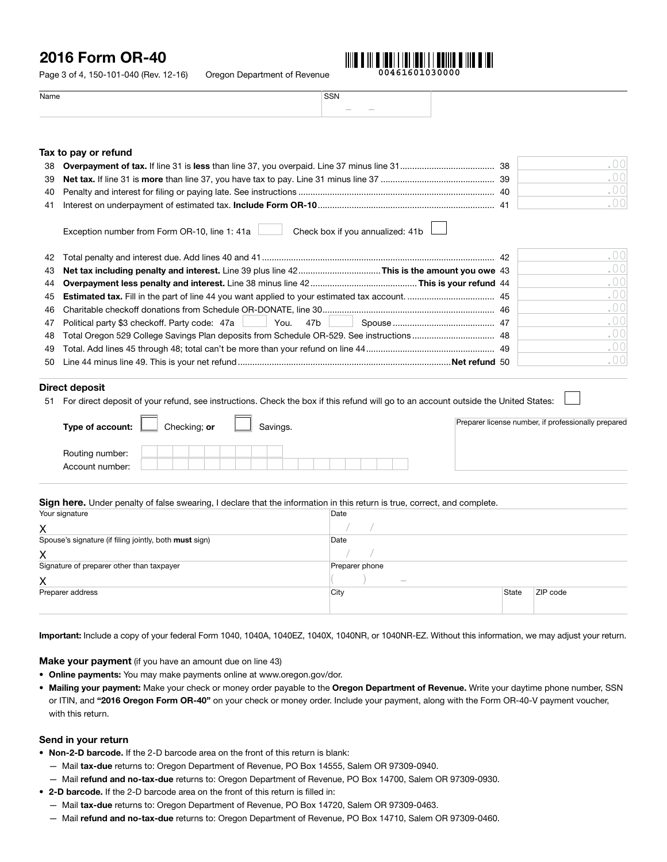## 2016 Form OR-40

Page 3 of 4, 150-101-040 (Rev. 12-16) Oregon Department of Revenue **00461601030000**



Name SSN – –

#### Tax to pay or refund

|  | 38  |  |
|--|-----|--|
|  | -39 |  |
|  | 40  |  |
|  | -41 |  |

Exception number from Form OR-10, line 1: 41a Check box if you annualized: 41b

|                                                                                             | .001 |
|---------------------------------------------------------------------------------------------|------|
|                                                                                             | .001 |
|                                                                                             | .001 |
|                                                                                             | .00  |
|                                                                                             | .001 |
|                                                                                             | .00  |
| 48 Total Oregon 529 College Savings Plan deposits from Schedule OR-529. See instructions 48 | .00  |
|                                                                                             | .001 |
|                                                                                             | .001 |

#### Direct deposit

51 For direct deposit of your refund, see instructions. Check the box if this refund will go to an account outside the United States:

| Type of account:                   | Checking: or | Savings. | Preparer license number, if professionally prepared |
|------------------------------------|--------------|----------|-----------------------------------------------------|
| Routing number:<br>Account number: |              |          |                                                     |

Sign here. Under penalty of false swearing, I declare that the information in this return is true, correct, and complete.

| Your signature                                         | Date           |       |          |  |
|--------------------------------------------------------|----------------|-------|----------|--|
| X                                                      |                |       |          |  |
| Spouse's signature (if filing jointly, both must sign) | Date           |       |          |  |
| X                                                      |                |       |          |  |
| Signature of preparer other than taxpayer              | Preparer phone |       |          |  |
| X                                                      | $\sim$         |       |          |  |
| Preparer address                                       | City           | State | ZIP code |  |
|                                                        |                |       |          |  |

Important: Include a copy of your federal Form 1040, 1040A, 1040EZ, 1040X, 1040NR, or 1040NR-EZ. Without this information, we may adjust your return.

**Make your payment** (if you have an amount due on line 43)

- Online payments: You may make payments online at www.oregon.gov/dor.
- Mailing your payment: Make your check or money order payable to the Oregon Department of Revenue. Write your daytime phone number, SSN or ITIN, and "2016 Oregon Form OR-40" on your check or money order. Include your payment, along with the Form OR-40-V payment voucher, with this return.

#### Send in your return

- Non-2-D barcode. If the 2-D barcode area on the front of this return is blank:
	- Mail tax-due returns to: Oregon Department of Revenue, PO Box 14555, Salem OR 97309-0940.
	- Mail refund and no-tax-due returns to: Oregon Department of Revenue, PO Box 14700, Salem OR 97309-0930.
- 2-D barcode. If the 2-D barcode area on the front of this return is filled in:
	- Mail tax-due returns to: Oregon Department of Revenue, PO Box 14720, Salem OR 97309-0463.
	- Mail refund and no-tax-due returns to: Oregon Department of Revenue, PO Box 14710, Salem OR 97309-0460.